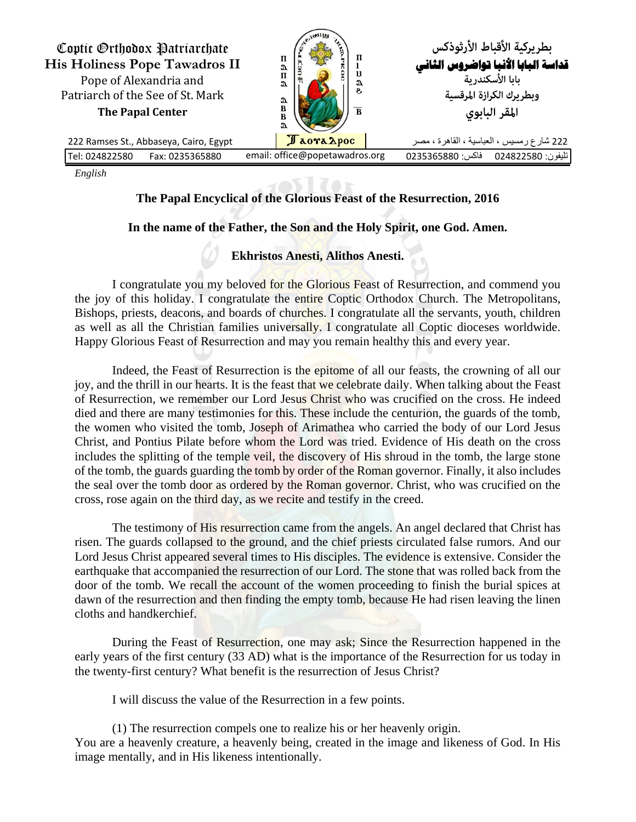

*English*

## **The Papal Encyclical of the Glorious Feast of the Resurrection, 2016**

## **In the name of the Father, the Son and the Holy Spirit, one God. Amen.**

## **Ekhristos Anesti, Alithos Anesti.**

I congratulate you my beloved for the Glorious Feast of Resurrection, and commend you the joy of this holiday. I congratulate the entire Coptic Orthodox Church. The Metropolitans, Bishops, priests, deacons, and boards of churches. I congratulate all the servants, youth, children as well as all the Christian families universally. I congratulate all Coptic dioceses worldwide. Happy Glorious Feast of Resurrection and may you remain healthy this and every year.

Indeed, the Feast of Resurrection is the epitome of all our feasts, the crowning of all our joy, and the thrill in our hearts. It is the feast that we celebrate daily. When talking about the Feast of Resurrection, we remember our Lord Jesus Christ who was crucified on the cross. He indeed died and there are many testimonies for this. These include the centurion, the guards of the tomb, the women who visited the tomb, Joseph of Arimathea who carried the body of our Lord Jesus Christ, and Pontius Pilate before whom the Lord was tried. Evidence of His death on the cross includes the splitting of the temple veil, the discovery of His shroud in the tomb, the large stone of the tomb, the guards guarding the tomb by order of the Roman governor. Finally, it also includes the seal over the tomb door as ordered by the Roman governor. Christ, who was crucified on the cross, rose again on the third day, as we recite and testify in the creed.

The testimony of His resurrection came from the angels. An angel declared that Christ has risen. The guards collapsed to the ground, and the chief priests circulated false rumors. And our Lord Jesus Christ appeared several times to His disciples. The evidence is extensive. Consider the earthquake that accompanied the resurrection of our Lord. The stone that was rolled back from the door of the tomb. We recall the account of the women proceeding to finish the burial spices at dawn of the resurrection and then finding the empty tomb, because He had risen leaving the linen cloths and handkerchief.

During the Feast of Resurrection, one may ask; Since the Resurrection happened in the early years of the first century (33 AD) what is the importance of the Resurrection for us today in the twenty-first century? What benefit is the resurrection of Jesus Christ?

I will discuss the value of the Resurrection in a few points.

(1) The resurrection compels one to realize his or her heavenly origin. You are a heavenly creature, a heavenly being, created in the image and likeness of God. In His image mentally, and in His likeness intentionally.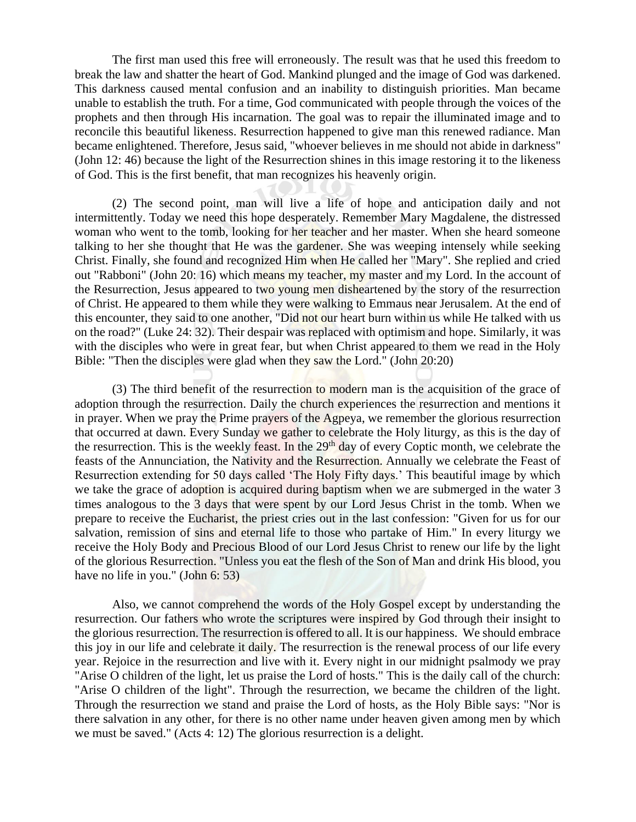The first man used this free will erroneously. The result was that he used this freedom to break the law and shatter the heart of God. Mankind plunged and the image of God was darkened. This darkness caused mental confusion and an inability to distinguish priorities. Man became unable to establish the truth. For a time, God communicated with people through the voices of the prophets and then through His incarnation. The goal was to repair the illuminated image and to reconcile this beautiful likeness. Resurrection happened to give man this renewed radiance. Man became enlightened. Therefore, Jesus said, "whoever believes in me should not abide in darkness" (John 12: 46) because the light of the Resurrection shines in this image restoring it to the likeness of God. This is the first benefit, that man recognizes his heavenly origin.

(2) The second point, man will live a life of hope and anticipation daily and not intermittently. Today we need this hope desperately. Remember Mary Magdalene, the distressed woman who went to the tomb, looking for her teacher and her master. When she heard someone talking to her she thought that He was the gardener. She was weeping intensely while seeking Christ. Finally, she found and recognized Him when He called her "Mary". She replied and cried out "Rabboni" (John 20: 16) which means my teacher, my master and my Lord. In the account of the Resurrection, Jesus appeared to two young men disheartened by the story of the resurrection of Christ. He appeared to them while they were walking to Emmaus near Jerusalem. At the end of this encounter, they said to one another, "Did not our heart burn within us while He talked with us on the road?" (Luke 24: 32). Their despair was replaced with optimism and hope. Similarly, it was with the disciples who were in great fear, but when Christ appeared to them we read in the Holy Bible: "Then the disciples were glad when they saw the Lord." (John 20:20)

(3) The third benefit of the resurrection to modern man is the acquisition of the grace of adoption through the resurrection. Daily the church experiences the resurrection and mentions it in prayer. When we pray the Prime prayers of the Agpeya, we remember the glorious resurrection that occurred at dawn. Every Sunday we gather to celebrate the Holy liturgy, as this is the day of the resurrection. This is the weekly feast. In the  $29<sup>th</sup>$  day of every Coptic month, we celebrate the feasts of the Annunciation, the Nativity and the Resurrection. Annually we celebrate the Feast of Resurrection extending for 50 days called 'The Holy Fifty days.' This beautiful image by which we take the grace of adoption is acquired during baptism when we are submerged in the water 3 times analogous to the 3 days that were spent by our Lord Jesus Christ in the tomb. When we prepare to receive the Eucharist, the priest cries out in the last confession: "Given for us for our salvation, remission of sins and eternal life to those who partake of Him." In every liturgy we receive the Holy Body and Precious Blood of our Lord Jesus Christ to renew our life by the light of the glorious Resurrection. "Unless you eat the flesh of the Son of Man and drink His blood, you have no life in you." (John 6: 53)

Also, we cannot comprehend the words of the Holy Gospel except by understanding the resurrection. Our fathers who wrote the scriptures were inspired by God through their insight to the glorious resurrection. The resurrection is offered to all. It is our happiness. We should embrace this joy in our life and celebrate it daily. The resurrection is the renewal process of our life every year. Rejoice in the resurrection and live with it. Every night in our midnight psalmody we pray "Arise O children of the light, let us praise the Lord of hosts." This is the daily call of the church: "Arise O children of the light". Through the resurrection, we became the children of the light. Through the resurrection we stand and praise the Lord of hosts, as the Holy Bible says: "Nor is there salvation in any other, for there is no other name under heaven given among men by which we must be saved." (Acts 4: 12) The glorious resurrection is a delight.